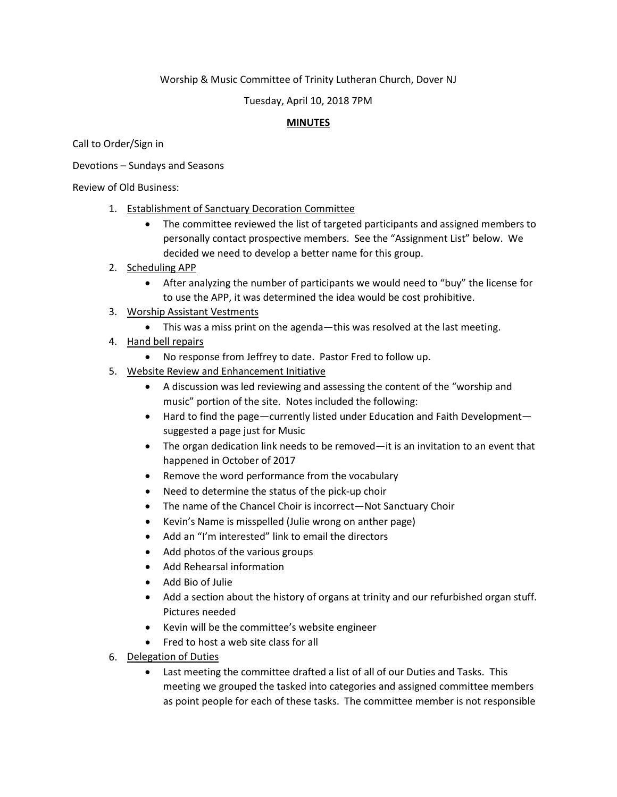## Worship & Music Committee of Trinity Lutheran Church, Dover NJ

#### Tuesday, April 10, 2018 7PM

### **MINUTES**

Call to Order/Sign in

Devotions – Sundays and Seasons

Review of Old Business:

- 1. Establishment of Sanctuary Decoration Committee
	- The committee reviewed the list of targeted participants and assigned members to personally contact prospective members. See the "Assignment List" below. We decided we need to develop a better name for this group.
- 2. Scheduling APP
	- After analyzing the number of participants we would need to "buy" the license for to use the APP, it was determined the idea would be cost prohibitive.
- 3. Worship Assistant Vestments
	- This was a miss print on the agenda—this was resolved at the last meeting.
- 4. Hand bell repairs
	- No response from Jeffrey to date. Pastor Fred to follow up.
- 5. Website Review and Enhancement Initiative
	- A discussion was led reviewing and assessing the content of the "worship and music" portion of the site. Notes included the following:
	- Hard to find the page—currently listed under Education and Faith Development suggested a page just for Music
	- The organ dedication link needs to be removed—it is an invitation to an event that happened in October of 2017
	- Remove the word performance from the vocabulary
	- Need to determine the status of the pick-up choir
	- The name of the Chancel Choir is incorrect—Not Sanctuary Choir
	- Kevin's Name is misspelled (Julie wrong on anther page)
	- Add an "I'm interested" link to email the directors
	- Add photos of the various groups
	- Add Rehearsal information
	- Add Bio of Julie
	- Add a section about the history of organs at trinity and our refurbished organ stuff. Pictures needed
	- Kevin will be the committee's website engineer
	- Fred to host a web site class for all
- 6. Delegation of Duties
	- Last meeting the committee drafted a list of all of our Duties and Tasks. This meeting we grouped the tasked into categories and assigned committee members as point people for each of these tasks. The committee member is not responsible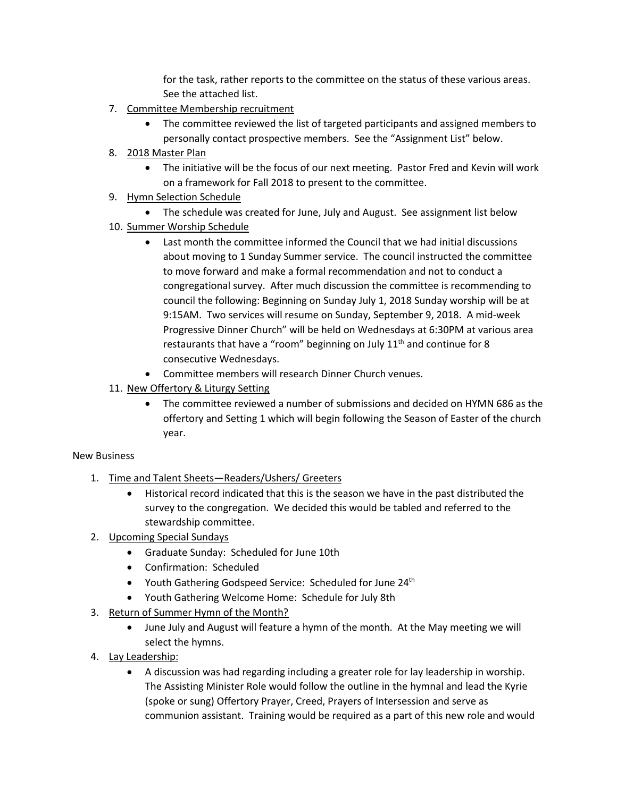for the task, rather reports to the committee on the status of these various areas. See the attached list.

- 7. Committee Membership recruitment
	- The committee reviewed the list of targeted participants and assigned members to personally contact prospective members. See the "Assignment List" below.
- 8. 2018 Master Plan
	- The initiative will be the focus of our next meeting. Pastor Fred and Kevin will work on a framework for Fall 2018 to present to the committee.
- 9. Hymn Selection Schedule
	- The schedule was created for June, July and August. See assignment list below
- 10. Summer Worship Schedule
	- Last month the committee informed the Council that we had initial discussions about moving to 1 Sunday Summer service. The council instructed the committee to move forward and make a formal recommendation and not to conduct a congregational survey. After much discussion the committee is recommending to council the following: Beginning on Sunday July 1, 2018 Sunday worship will be at 9:15AM. Two services will resume on Sunday, September 9, 2018. A mid-week Progressive Dinner Church" will be held on Wednesdays at 6:30PM at various area restaurants that have a "room" beginning on July  $11<sup>th</sup>$  and continue for 8 consecutive Wednesdays.
	- Committee members will research Dinner Church venues.
- 11. New Offertory & Liturgy Setting
	- The committee reviewed a number of submissions and decided on HYMN 686 as the offertory and Setting 1 which will begin following the Season of Easter of the church year.

## New Business

- 1. Time and Talent Sheets—Readers/Ushers/ Greeters
	- Historical record indicated that this is the season we have in the past distributed the survey to the congregation. We decided this would be tabled and referred to the stewardship committee.
- 2. Upcoming Special Sundays
	- Graduate Sunday: Scheduled for June 10th
	- Confirmation: Scheduled
	- Youth Gathering Godspeed Service: Scheduled for June 24<sup>th</sup>
	- Youth Gathering Welcome Home: Schedule for July 8th
- 3. Return of Summer Hymn of the Month?
	- June July and August will feature a hymn of the month. At the May meeting we will select the hymns.
- 4. Lay Leadership:
	- A discussion was had regarding including a greater role for lay leadership in worship. The Assisting Minister Role would follow the outline in the hymnal and lead the Kyrie (spoke or sung) Offertory Prayer, Creed, Prayers of Intersession and serve as communion assistant. Training would be required as a part of this new role and would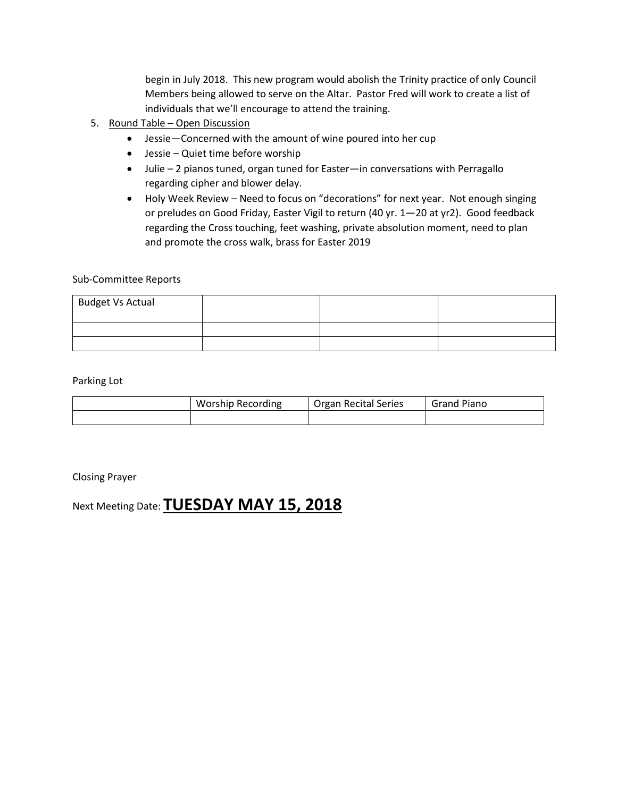begin in July 2018. This new program would abolish the Trinity practice of only Council Members being allowed to serve on the Altar. Pastor Fred will work to create a list of individuals that we'll encourage to attend the training.

- 5. Round Table Open Discussion
	- Jessie—Concerned with the amount of wine poured into her cup
	- Jessie Quiet time before worship
	- Julie 2 pianos tuned, organ tuned for Easter—in conversations with Perragallo regarding cipher and blower delay.
	- Holy Week Review Need to focus on "decorations" for next year. Not enough singing or preludes on Good Friday, Easter Vigil to return (40 yr. 1—20 at yr2). Good feedback regarding the Cross touching, feet washing, private absolution moment, need to plan and promote the cross walk, brass for Easter 2019

#### Sub-Committee Reports

| <b>Budget Vs Actual</b> |  |  |
|-------------------------|--|--|
|                         |  |  |
|                         |  |  |

#### Parking Lot

| <b>Worship Recording</b> | <b>Organ Recital Series</b> | <b>Grand Piano</b> |
|--------------------------|-----------------------------|--------------------|
|                          |                             |                    |

#### Closing Prayer

# Next Meeting Date: **TUESDAY MAY 15, 2018**